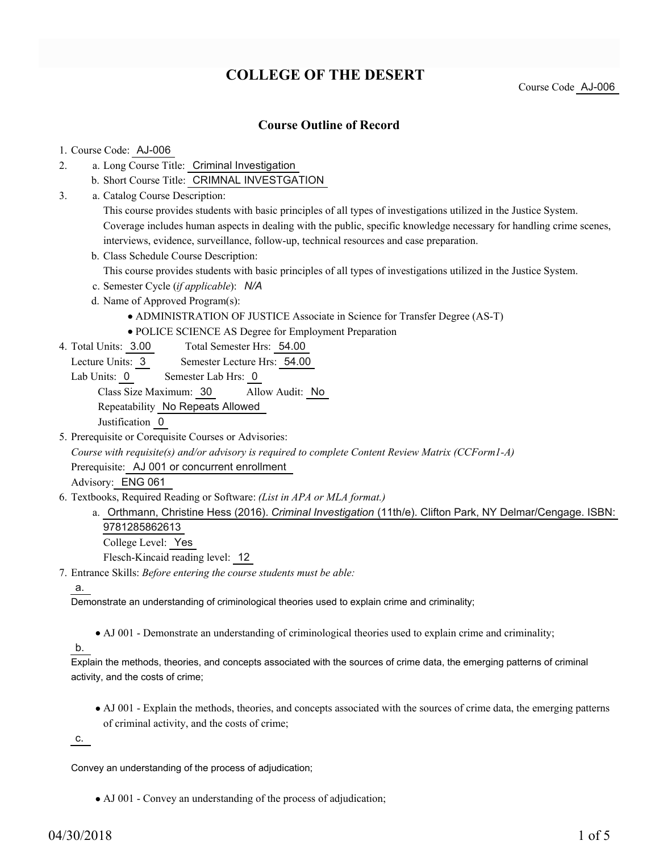# **COLLEGE OF THE DESERT**

Course Code AJ-006

## **Course Outline of Record**

### 1. Course Code: AJ-006

- a. Long Course Title: Criminal Investigation 2.
	- b. Short Course Title: CRIMNAL INVESTGATION
- Catalog Course Description: a. 3.

This course provides students with basic principles of all types of investigations utilized in the Justice System. Coverage includes human aspects in dealing with the public, specific knowledge necessary for handling crime scenes, interviews, evidence, surveillance, follow-up, technical resources and case preparation.

b. Class Schedule Course Description:

This course provides students with basic principles of all types of investigations utilized in the Justice System.

- c. Semester Cycle (*if applicable*): *N/A*
- d. Name of Approved Program(s):
	- ADMINISTRATION OF JUSTICE Associate in Science for Transfer Degree (AS-T)
	- POLICE SCIENCE AS Degree for Employment Preparation
- Total Semester Hrs: 54.00 4. Total Units: 3.00
	- Lecture Units: 3 Semester Lecture Hrs: 54.00
	- Lab Units: 0 Semester Lab Hrs: 0

Class Size Maximum: 30 Allow Audit: No

Repeatability No Repeats Allowed

Justification 0

5. Prerequisite or Corequisite Courses or Advisories:

*Course with requisite(s) and/or advisory is required to complete Content Review Matrix (CCForm1-A)*

Prerequisite: AJ 001 or concurrent enrollment

Advisory: ENG 061

- Textbooks, Required Reading or Software: *(List in APA or MLA format.)* 6.
	- a. Orthmann, Christine Hess (2016). *Criminal Investigation* (11th/e). Clifton Park, NY Delmar/Cengage. ISBN: 9781285862613

College Level: Yes

Flesch-Kincaid reading level: 12

Entrance Skills: *Before entering the course students must be able:* 7.

#### a.

Demonstrate an understanding of criminological theories used to explain crime and criminality;

AJ 001 - Demonstrate an understanding of criminological theories used to explain crime and criminality;

### b.

Explain the methods, theories, and concepts associated with the sources of crime data, the emerging patterns of criminal activity, and the costs of crime;

AJ 001 - Explain the methods, theories, and concepts associated with the sources of crime data, the emerging patterns of criminal activity, and the costs of crime;

c.

Convey an understanding of the process of adjudication;

AJ 001 - Convey an understanding of the process of adjudication;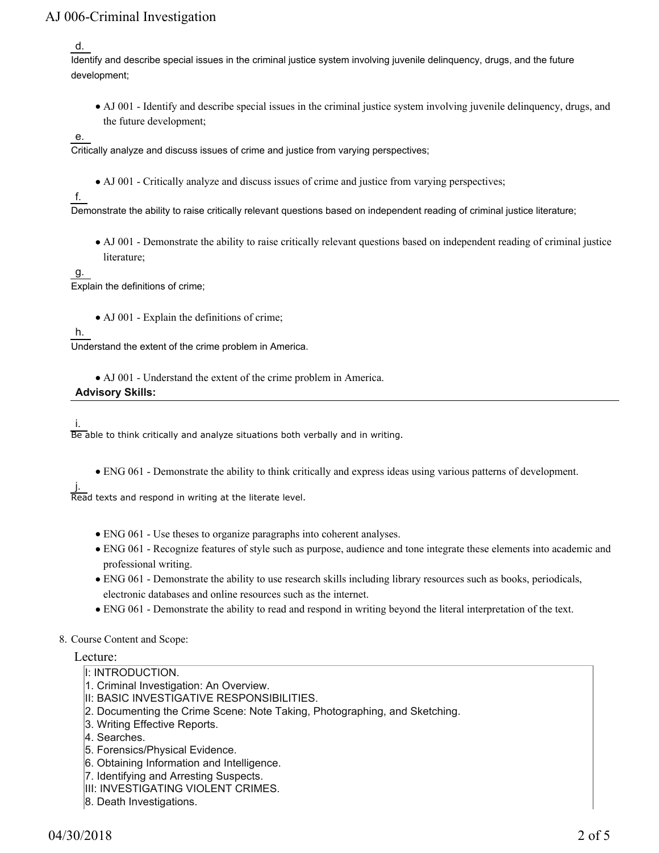d.

Identify and describe special issues in the criminal justice system involving juvenile delinquency, drugs, and the future development;

AJ 001 - Identify and describe special issues in the criminal justice system involving juvenile delinquency, drugs, and the future development;

e.

Critically analyze and discuss issues of crime and justice from varying perspectives;

• AJ 001 - Critically analyze and discuss issues of crime and justice from varying perspectives;

f.

Demonstrate the ability to raise critically relevant questions based on independent reading of criminal justice literature;

AJ 001 - Demonstrate the ability to raise critically relevant questions based on independent reading of criminal justice literature;

g.

Explain the definitions of crime;

• AJ 001 - Explain the definitions of crime;

h.

Understand the extent of the crime problem in America.

AJ 001 - Understand the extent of the crime problem in America.

**Advisory Skills:**

i.

Be able to think critically and analyze situations both verbally and in writing.

ENG 061 - Demonstrate the ability to think critically and express ideas using various patterns of development.

j. Read texts and respond in writing at the literate level.

- ENG 061 Use theses to organize paragraphs into coherent analyses.
- ENG 061 Recognize features of style such as purpose, audience and tone integrate these elements into academic and professional writing.
- ENG 061 Demonstrate the ability to use research skills including library resources such as books, periodicals, electronic databases and online resources such as the internet.
- ENG 061 Demonstrate the ability to read and respond in writing beyond the literal interpretation of the text.

#### 8. Course Content and Scope:

#### Lecture:

- I: INTRODUCTION.
- 1. Criminal Investigation: An Overview.
- II: BASIC INVESTIGATIVE RESPONSIBILITIES.
- 2. Documenting the Crime Scene: Note Taking, Photographing, and Sketching.
- 3. Writing Effective Reports.
- 4. Searches.
- 5. Forensics/Physical Evidence.
- 6. Obtaining Information and Intelligence.
- 7. Identifying and Arresting Suspects.
- **III: INVESTIGATING VIOLENT CRIMES.**
- 8. Death Investigations.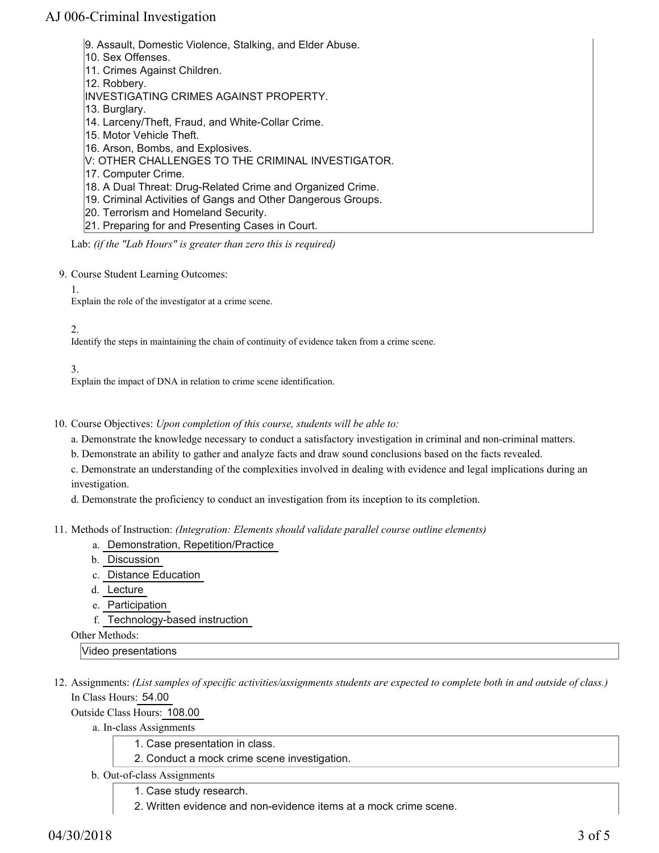- 9. Assault, Domestic Violence, Stalking, and Elder Abuse.
- 10. Sex Offenses.
- 11. Crimes Against Children.
- 12. Robbery.
- INVESTIGATING CRIMES AGAINST PROPERTY.
- 13. Burglary.
- 14. Larceny/Theft, Fraud, and White-Collar Crime.
- 15. Motor Vehicle Theft.
- 16. Arson, Bombs, and Explosives.
- V: OTHER CHALLENGES TO THE CRIMINAL INVESTIGATOR.
- 17. Computer Crime.
- 18. A Dual Threat: Drug-Related Crime and Organized Crime.
- 19. Criminal Activities of Gangs and Other Dangerous Groups.
- 20. Terrorism and Homeland Security.
- 21. Preparing for and Presenting Cases in Court.

Lab: *(if the "Lab Hours" is greater than zero this is required)*

- 9. Course Student Learning Outcomes:
	- 1.

Explain the role of the investigator at a crime scene.

#### 2.

Identify the steps in maintaining the chain of continuity of evidence taken from a crime scene.

3.

Explain the impact of DNA in relation to crime scene identification.

10. Course Objectives: Upon completion of this course, students will be able to:

a. Demonstrate the knowledge necessary to conduct a satisfactory investigation in criminal and non-criminal matters.

b. Demonstrate an ability to gather and analyze facts and draw sound conclusions based on the facts revealed.

c. Demonstrate an understanding of the complexities involved in dealing with evidence and legal implications during an investigation.

d. Demonstrate the proficiency to conduct an investigation from its inception to its completion.

- Methods of Instruction: *(Integration: Elements should validate parallel course outline elements)* 11.
	- a. Demonstration, Repetition/Practice
	- b. Discussion
	- c. Distance Education
	- d. Lecture
	- e. Participation
	- f. Technology-based instruction

Other Methods:

Video presentations

12. Assignments: (List samples of specific activities/assignments students are expected to complete both in and outside of class.) In Class Hours: 54.00

Outside Class Hours: 108.00

a. In-class Assignments

- 1. Case presentation in class.
- 2. Conduct a mock crime scene investigation.
- b. Out-of-class Assignments
	- 1. Case study research.
	- 2. Written evidence and non-evidence items at a mock crime scene.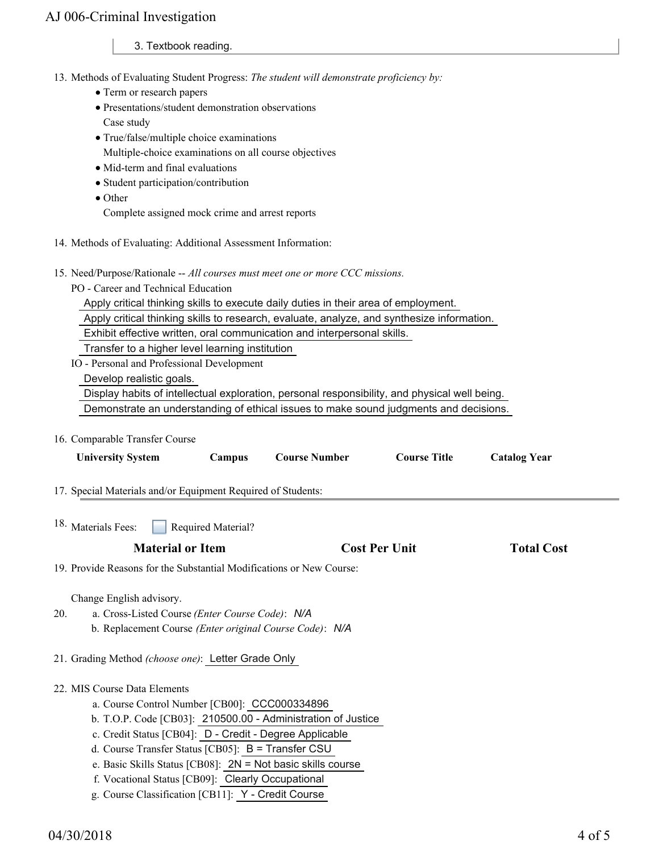3. Textbook reading.

- 13. Methods of Evaluating Student Progress: The student will demonstrate proficiency by:
	- Term or research papers
	- Presentations/student demonstration observations Case study
	- True/false/multiple choice examinations
	- Multiple-choice examinations on all course objectives
	- Mid-term and final evaluations
	- Student participation/contribution
	- Other

Complete assigned mock crime and arrest reports

- 14. Methods of Evaluating: Additional Assessment Information:
- 15. Need/Purpose/Rationale -- All courses must meet one or more CCC missions.
	- PO Career and Technical Education

Apply critical thinking skills to execute daily duties in their area of employment.

Apply critical thinking skills to research, evaluate, analyze, and synthesize information.

Exhibit effective written, oral communication and interpersonal skills.

Transfer to a higher level learning institution

IO - Personal and Professional Development

Develop realistic goals.

Display habits of intellectual exploration, personal responsibility, and physical well being.

Demonstrate an understanding of ethical issues to make sound judgments and decisions.

16. Comparable Transfer Course

| <b>University System</b>                                                                                                                                                                            | Campus             | <b>Course Number</b>                                         | <b>Course Title</b>  | <b>Catalog Year</b> |  |
|-----------------------------------------------------------------------------------------------------------------------------------------------------------------------------------------------------|--------------------|--------------------------------------------------------------|----------------------|---------------------|--|
| 17. Special Materials and/or Equipment Required of Students:                                                                                                                                        |                    |                                                              |                      |                     |  |
| <sup>18.</sup> Materials Fees:                                                                                                                                                                      | Required Material? |                                                              |                      |                     |  |
| <b>Material or Item</b>                                                                                                                                                                             |                    |                                                              | <b>Cost Per Unit</b> | <b>Total Cost</b>   |  |
| 19. Provide Reasons for the Substantial Modifications or New Course:                                                                                                                                |                    |                                                              |                      |                     |  |
| Change English advisory.<br>a. Cross-Listed Course (Enter Course Code): N/A<br>20.<br>b. Replacement Course (Enter original Course Code): N/A<br>21. Grading Method (choose one): Letter Grade Only |                    |                                                              |                      |                     |  |
| 22. MIS Course Data Elements                                                                                                                                                                        |                    |                                                              |                      |                     |  |
| a. Course Control Number [CB00]: CCC000334896                                                                                                                                                       |                    |                                                              |                      |                     |  |
|                                                                                                                                                                                                     |                    | b. T.O.P. Code [CB03]: 210500.00 - Administration of Justice |                      |                     |  |
| c. Credit Status [CB04]: D - Credit - Degree Applicable                                                                                                                                             |                    |                                                              |                      |                     |  |
| d. Course Transfer Status [CB05]: B = Transfer CSU                                                                                                                                                  |                    |                                                              |                      |                     |  |
| e. Basic Skills Status [CB08]: 2N = Not basic skills course<br>f. Vocational Status [CB09]: Clearly Occupational                                                                                    |                    |                                                              |                      |                     |  |
| g. Course Classification [CB11]: Y - Credit Course                                                                                                                                                  |                    |                                                              |                      |                     |  |